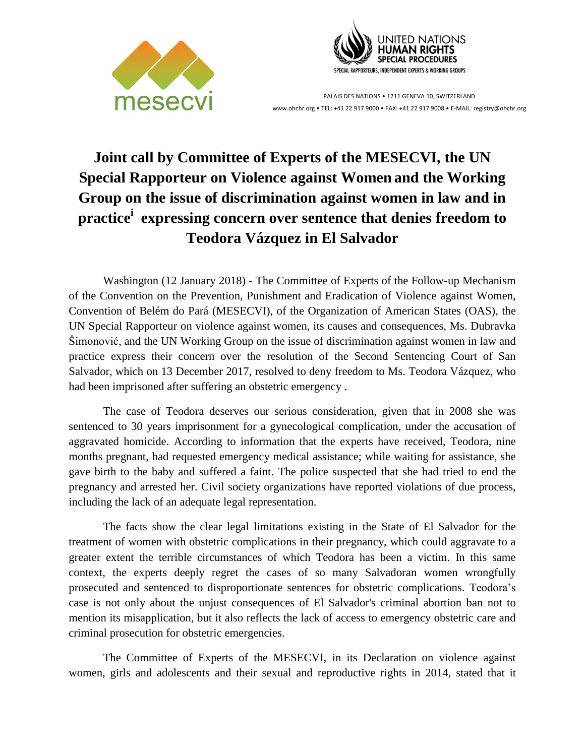



PALAIS DES NATIONS • 1211 GENEVA 10, SWITZERLAND www.ohchr.org • TEL: +41 22 917 9000 • FAX: +41 22 917 9008 • E-MAIL: registry@ohchr.org

## **Joint call by Committee of Experts of the MESECVI, the UN Special Rapporteur on Violence against Women and the Working Group on the issue of discrimination against women in law and in practice<sup>i</sup> expressing concern over sentence that denies freedom to Teodora Vázquez in El Salvador**

Washington (12 January 2018) - The Committee of Experts of the Follow-up Mechanism of the Convention on the Prevention, Punishment and Eradication of Violence against Women, Convention of Belém do Pará (MESECVI), of the Organization of American States (OAS), the UN Special Rapporteur on violence against women, its causes and consequences, Ms. Dubravka Šimonović, and the UN Working Group on the issue of discrimination against women in law and practice express their concern over the resolution of the Second Sentencing Court of San Salvador, which on 13 December 2017, resolved to deny freedom to Ms. Teodora Vázquez, who had been imprisoned after suffering an obstetric emergency .

The case of Teodora deserves our serious consideration, given that in 2008 she was sentenced to 30 years imprisonment for a gynecological complication, under the accusation of aggravated homicide. According to information that the experts have received, Teodora, nine months pregnant, had requested emergency medical assistance; while waiting for assistance, she gave birth to the baby and suffered a faint. The police suspected that she had tried to end the pregnancy and arrested her. Civil society organizations have reported violations of due process, including the lack of an adequate legal representation.

The facts show the clear legal limitations existing in the State of El Salvador for the treatment of women with obstetric complications in their pregnancy, which could aggravate to a greater extent the terrible circumstances of which Teodora has been a victim. In this same context, the experts deeply regret the cases of so many Salvadoran women wrongfully prosecuted and sentenced to disproportionate sentences for obstetric complications. Teodora's case is not only about the unjust consequences of El Salvador's criminal abortion ban not to mention its misapplication, but it also reflects the lack of access to emergency obstetric care and criminal prosecution for obstetric emergencies.

The Committee of Experts of the MESECVI, in its Declaration on violence against women, girls and adolescents and their sexual and reproductive rights in 2014, stated that it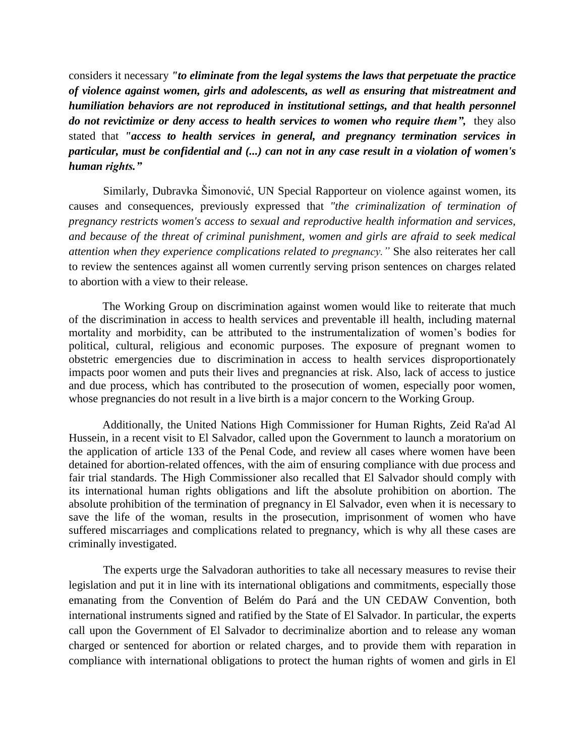considers it necessary *"to eliminate from the legal systems the laws that perpetuate the practice of violence against women, girls and adolescents, as well as ensuring that mistreatment and humiliation behaviors are not reproduced in institutional settings, and that health personnel do not revictimize or deny access to health services to women who require them",* they also stated that *"access to health services in general, and pregnancy termination services in particular, must be confidential and (...) can not in any case result in a violation of women's human rights."*

Similarly, Dubravka Šimonović, UN Special Rapporteur on violence against women, its causes and consequences, previously expressed that *"the criminalization of termination of pregnancy restricts women's access to sexual and reproductive health information and services, and because of the threat of criminal punishment, women and girls are afraid to seek medical attention when they experience complications related to pregnancy."* She also reiterates her call to review the sentences against all women currently serving prison sentences on charges related to abortion with a view to their release.

The Working Group on discrimination against women would like to reiterate that much of the discrimination in access to health services and preventable ill health, including maternal mortality and morbidity, can be attributed to the instrumentalization of women's bodies for political, cultural, religious and economic purposes. The exposure of pregnant women to obstetric emergencies due to discrimination in access to health services disproportionately impacts poor women and puts their lives and pregnancies at risk. Also, lack of access to justice and due process, which has contributed to the prosecution of women, especially poor women, whose pregnancies do not result in a live birth is a major concern to the Working Group.

Additionally, the United Nations High Commissioner for Human Rights, Zeid Ra'ad Al Hussein, in a recent visit to El Salvador, called upon the Government to launch a moratorium on the application of article 133 of the Penal Code, and review all cases where women have been detained for abortion-related offences, with the aim of ensuring compliance with due process and fair trial standards. The High Commissioner also recalled that El Salvador should comply with its international human rights obligations and lift the absolute prohibition on abortion. The absolute prohibition of the termination of pregnancy in El Salvador, even when it is necessary to save the life of the woman, results in the prosecution, imprisonment of women who have suffered miscarriages and complications related to pregnancy, which is why all these cases are criminally investigated.

The experts urge the Salvadoran authorities to take all necessary measures to revise their legislation and put it in line with its international obligations and commitments, especially those emanating from the Convention of Belém do Pará and the UN CEDAW Convention, both international instruments signed and ratified by the State of El Salvador. In particular, the experts call upon the Government of El Salvador to decriminalize abortion and to release any woman charged or sentenced for abortion or related charges, and to provide them with reparation in compliance with international obligations to protect the human rights of women and girls in El